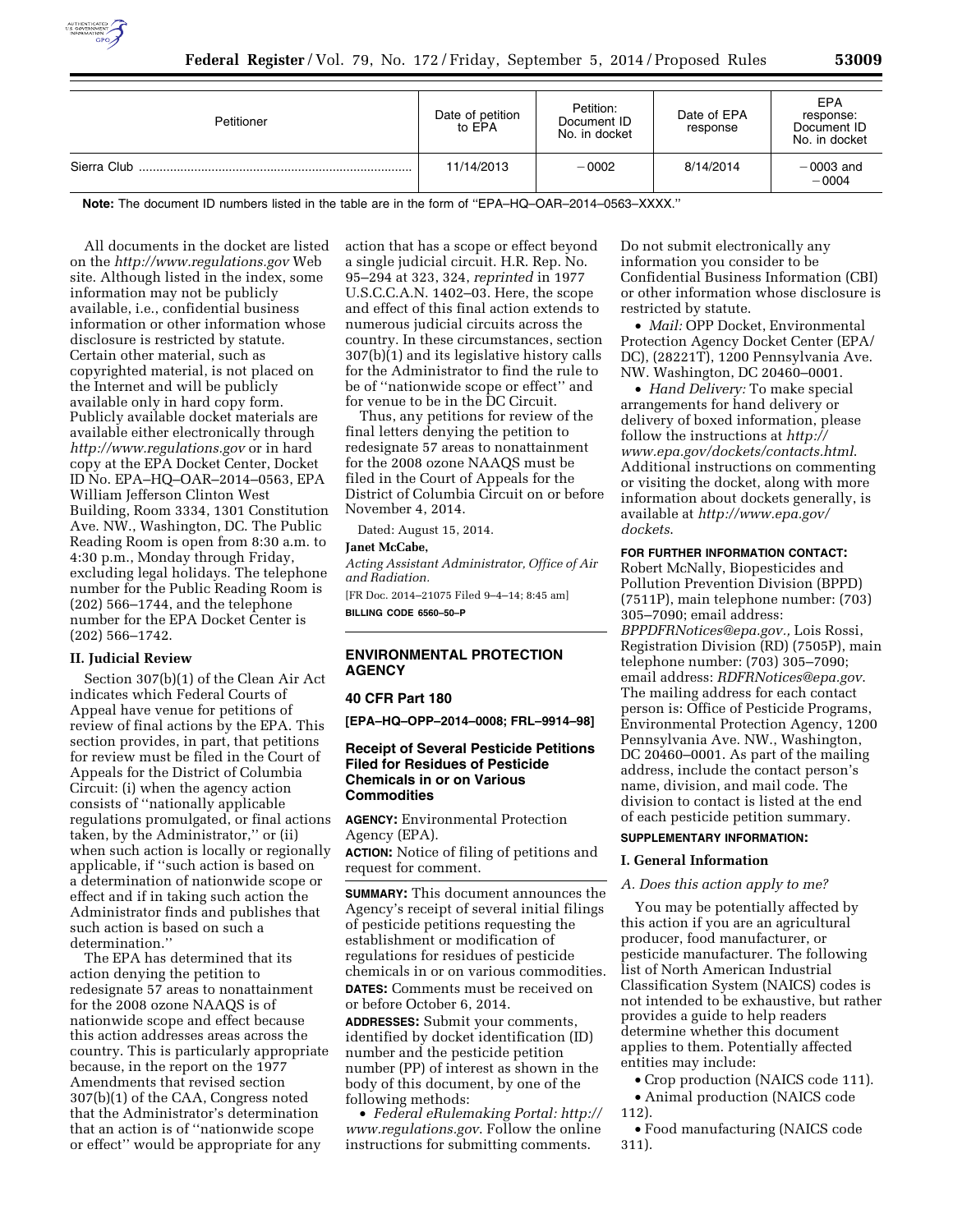

| Petitioner  | Date of petition<br>to EPA | Petition:<br>Document ID<br>No. in docket | Date of EPA<br>response | <b>EPA</b><br>response:<br>Document ID<br>No. in docket |
|-------------|----------------------------|-------------------------------------------|-------------------------|---------------------------------------------------------|
| Sierra Club | 11/14/2013                 | $-0002$                                   | 8/14/2014               | $-0003$ and<br>$-0004$                                  |

**Note:** The document ID numbers listed in the table are in the form of ''EPA–HQ–OAR–2014–0563–XXXX.''

All documents in the docket are listed on the *<http://www.regulations.gov>*Web site. Although listed in the index, some information may not be publicly available, i.e., confidential business information or other information whose disclosure is restricted by statute. Certain other material, such as copyrighted material, is not placed on the Internet and will be publicly available only in hard copy form. Publicly available docket materials are available either electronically through *<http://www.regulations.gov>* or in hard copy at the EPA Docket Center, Docket ID No. EPA–HQ–OAR–2014–0563, EPA William Jefferson Clinton West Building, Room 3334, 1301 Constitution Ave. NW., Washington, DC. The Public Reading Room is open from 8:30 a.m. to 4:30 p.m., Monday through Friday, excluding legal holidays. The telephone number for the Public Reading Room is (202) 566–1744, and the telephone number for the EPA Docket Center is (202) 566–1742.

## **II. Judicial Review**

Section 307(b)(1) of the Clean Air Act indicates which Federal Courts of Appeal have venue for petitions of review of final actions by the EPA. This section provides, in part, that petitions for review must be filed in the Court of Appeals for the District of Columbia Circuit: (i) when the agency action consists of ''nationally applicable regulations promulgated, or final actions taken, by the Administrator,'' or (ii) when such action is locally or regionally applicable, if ''such action is based on a determination of nationwide scope or effect and if in taking such action the Administrator finds and publishes that such action is based on such a determination.''

The EPA has determined that its action denying the petition to redesignate 57 areas to nonattainment for the 2008 ozone NAAQS is of nationwide scope and effect because this action addresses areas across the country. This is particularly appropriate because, in the report on the 1977 Amendments that revised section 307(b)(1) of the CAA, Congress noted that the Administrator's determination that an action is of ''nationwide scope or effect'' would be appropriate for any

action that has a scope or effect beyond a single judicial circuit. H.R. Rep. No. 95–294 at 323, 324, *reprinted* in 1977 U.S.C.C.A.N. 1402–03. Here, the scope and effect of this final action extends to numerous judicial circuits across the country. In these circumstances, section 307(b)(1) and its legislative history calls for the Administrator to find the rule to be of ''nationwide scope or effect'' and for venue to be in the DC Circuit.

Thus, any petitions for review of the final letters denying the petition to redesignate 57 areas to nonattainment for the 2008 ozone NAAQS must be filed in the Court of Appeals for the District of Columbia Circuit on or before November 4, 2014.

Dated: August 15, 2014.

## **Janet McCabe,**

*Acting Assistant Administrator, Office of Air and Radiation.* 

[FR Doc. 2014–21075 Filed 9–4–14; 8:45 am] **BILLING CODE 6560–50–P** 

# **ENVIRONMENTAL PROTECTION AGENCY**

### **40 CFR Part 180**

**[EPA–HQ–OPP–2014–0008; FRL–9914–98]** 

# **Receipt of Several Pesticide Petitions Filed for Residues of Pesticide Chemicals in or on Various Commodities**

**AGENCY:** Environmental Protection Agency (EPA).

**ACTION:** Notice of filing of petitions and request for comment.

**SUMMARY:** This document announces the Agency's receipt of several initial filings of pesticide petitions requesting the establishment or modification of regulations for residues of pesticide chemicals in or on various commodities. **DATES:** Comments must be received on or before October 6, 2014.

**ADDRESSES:** Submit your comments, identified by docket identification (ID) number and the pesticide petition number (PP) of interest as shown in the body of this document, by one of the following methods:

• *Federal eRulemaking Portal: [http://](http://www.regulations.gov)  [www.regulations.gov](http://www.regulations.gov)*. Follow the online instructions for submitting comments.

Do not submit electronically any information you consider to be Confidential Business Information (CBI) or other information whose disclosure is restricted by statute.

• *Mail:* OPP Docket, Environmental Protection Agency Docket Center (EPA/ DC), (28221T), 1200 Pennsylvania Ave. NW. Washington, DC 20460–0001.

• *Hand Delivery:* To make special arrangements for hand delivery or delivery of boxed information, please follow the instructions at *[http://](http://www.epa.gov/dockets/contacts.html) [www.epa.gov/dockets/contacts.html](http://www.epa.gov/dockets/contacts.html)*. Additional instructions on commenting or visiting the docket, along with more information about dockets generally, is available at *[http://www.epa.gov/](http://www.epa.gov/dockets) [dockets](http://www.epa.gov/dockets)*.

## **FOR FURTHER INFORMATION CONTACT:**

Robert McNally, Biopesticides and Pollution Prevention Division (BPPD) (7511P), main telephone number: (703) 305–7090; email address: *[BPPDFRNotices@epa.gov.,](mailto:BPPDFRNotices@epa.gov)* Lois Rossi, Registration Division (RD) (7505P), main telephone number: (703) 305–7090; email address: *[RDFRNotices@epa.gov](mailto:RDFRNotices@epa.gov)*. The mailing address for each contact person is: Office of Pesticide Programs, Environmental Protection Agency, 1200 Pennsylvania Ave. NW., Washington, DC 20460–0001. As part of the mailing address, include the contact person's name, division, and mail code. The division to contact is listed at the end of each pesticide petition summary.

# **SUPPLEMENTARY INFORMATION:**

#### **I. General Information**

## *A. Does this action apply to me?*

You may be potentially affected by this action if you are an agricultural producer, food manufacturer, or pesticide manufacturer. The following list of North American Industrial Classification System (NAICS) codes is not intended to be exhaustive, but rather provides a guide to help readers determine whether this document applies to them. Potentially affected entities may include:

• Crop production (NAICS code 111).

• Animal production (NAICS code 112).

• Food manufacturing (NAICS code 311).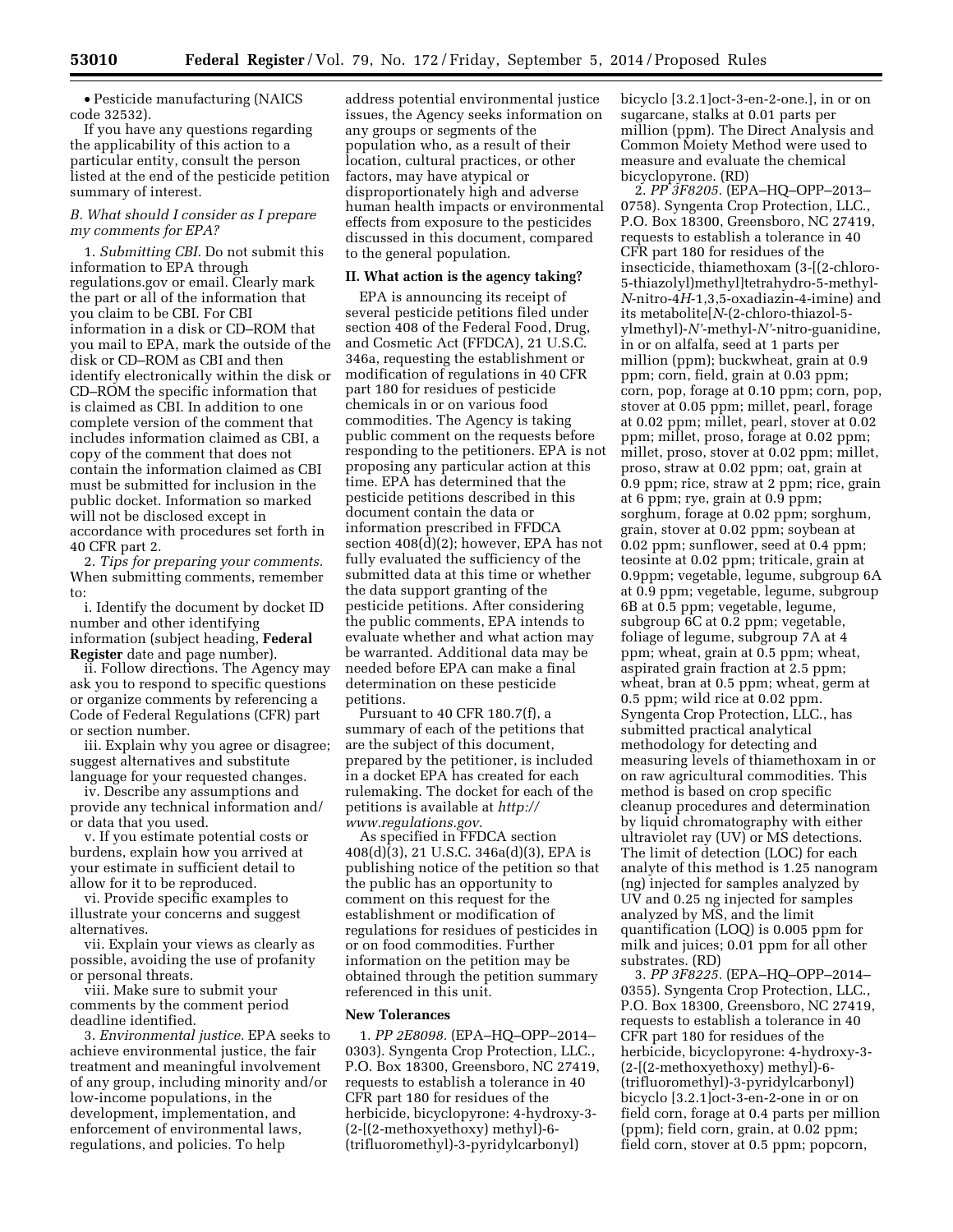• Pesticide manufacturing (NAICS code 32532).

If you have any questions regarding the applicability of this action to a particular entity, consult the person listed at the end of the pesticide petition summary of interest.

## *B. What should I consider as I prepare my comments for EPA?*

1. *Submitting CBI.* Do not submit this information to EPA through regulations.gov or email. Clearly mark the part or all of the information that you claim to be CBI. For CBI information in a disk or CD–ROM that you mail to EPA, mark the outside of the disk or CD–ROM as CBI and then identify electronically within the disk or CD–ROM the specific information that is claimed as CBI. In addition to one complete version of the comment that includes information claimed as CBI, a copy of the comment that does not contain the information claimed as CBI must be submitted for inclusion in the public docket. Information so marked will not be disclosed except in accordance with procedures set forth in 40 CFR part 2.

2. *Tips for preparing your comments.*  When submitting comments, remember to:

i. Identify the document by docket ID number and other identifying information (subject heading, **Federal Register** date and page number).

ii. Follow directions. The Agency may ask you to respond to specific questions or organize comments by referencing a Code of Federal Regulations (CFR) part or section number.

iii. Explain why you agree or disagree; suggest alternatives and substitute language for your requested changes.

iv. Describe any assumptions and provide any technical information and/ or data that you used.

v. If you estimate potential costs or burdens, explain how you arrived at your estimate in sufficient detail to allow for it to be reproduced.

vi. Provide specific examples to illustrate your concerns and suggest alternatives.

vii. Explain your views as clearly as possible, avoiding the use of profanity or personal threats.

viii. Make sure to submit your comments by the comment period deadline identified.

3. *Environmental justice.* EPA seeks to achieve environmental justice, the fair treatment and meaningful involvement of any group, including minority and/or low-income populations, in the development, implementation, and enforcement of environmental laws, regulations, and policies. To help

address potential environmental justice issues, the Agency seeks information on any groups or segments of the population who, as a result of their location, cultural practices, or other factors, may have atypical or disproportionately high and adverse human health impacts or environmental effects from exposure to the pesticides discussed in this document, compared to the general population.

#### **II. What action is the agency taking?**

EPA is announcing its receipt of several pesticide petitions filed under section 408 of the Federal Food, Drug, and Cosmetic Act (FFDCA), 21 U.S.C. 346a, requesting the establishment or modification of regulations in 40 CFR part 180 for residues of pesticide chemicals in or on various food commodities. The Agency is taking public comment on the requests before responding to the petitioners. EPA is not proposing any particular action at this time. EPA has determined that the pesticide petitions described in this document contain the data or information prescribed in FFDCA section 408(d)(2); however, EPA has not fully evaluated the sufficiency of the submitted data at this time or whether the data support granting of the pesticide petitions. After considering the public comments, EPA intends to evaluate whether and what action may be warranted. Additional data may be needed before EPA can make a final determination on these pesticide petitions.

Pursuant to 40 CFR 180.7(f), a summary of each of the petitions that are the subject of this document, prepared by the petitioner, is included in a docket EPA has created for each rulemaking. The docket for each of the petitions is available at *[http://](http://www.regulations.gov) [www.regulations.gov](http://www.regulations.gov)*.

As specified in FFDCA section 408(d)(3), 21 U.S.C. 346a(d)(3), EPA is publishing notice of the petition so that the public has an opportunity to comment on this request for the establishment or modification of regulations for residues of pesticides in or on food commodities. Further information on the petition may be obtained through the petition summary referenced in this unit.

#### **New Tolerances**

1*. PP 2E8098.* (EPA–HQ–OPP–2014– 0303). Syngenta Crop Protection, LLC., P.O. Box 18300, Greensboro, NC 27419, requests to establish a tolerance in 40 CFR part 180 for residues of the herbicide, bicyclopyrone: 4-hydroxy-3- (2-[(2-methoxyethoxy) methyl)-6- (trifluoromethyl)-3-pyridylcarbonyl)

bicyclo [3.2.1]oct-3-en-2-one.], in or on sugarcane, stalks at 0.01 parts per million (ppm). The Direct Analysis and Common Moiety Method were used to measure and evaluate the chemical bicyclopyrone. (RD)

2. *PP 3F8205.* (EPA–HQ–OPP–2013– 0758). Syngenta Crop Protection, LLC., P.O. Box 18300, Greensboro, NC 27419, requests to establish a tolerance in 40 CFR part 180 for residues of the insecticide, thiamethoxam (3-[(2-chloro-5-thiazolyl)methyl]tetrahydro-5-methyl-*N*-nitro-4*H*-1,3,5-oxadiazin-4-imine) and its metabolite[*N*-(2-chloro-thiazol-5 ylmethyl)-*N'*-methyl-*N'*-nitro-guanidine, in or on alfalfa, seed at 1 parts per million (ppm); buckwheat, grain at 0.9 ppm; corn, field, grain at 0.03 ppm; corn, pop, forage at 0.10 ppm; corn, pop, stover at 0.05 ppm; millet, pearl, forage at 0.02 ppm; millet, pearl, stover at 0.02 ppm; millet, proso, forage at 0.02 ppm; millet, proso, stover at 0.02 ppm; millet, proso, straw at 0.02 ppm; oat, grain at 0.9 ppm; rice, straw at 2 ppm; rice, grain at 6 ppm; rye, grain at 0.9 ppm; sorghum, forage at 0.02 ppm; sorghum, grain, stover at 0.02 ppm; soybean at 0.02 ppm; sunflower, seed at 0.4 ppm; teosinte at 0.02 ppm; triticale, grain at 0.9ppm; vegetable, legume, subgroup 6A at 0.9 ppm; vegetable, legume, subgroup 6B at 0.5 ppm; vegetable, legume, subgroup 6C at 0.2 ppm; vegetable, foliage of legume, subgroup 7A at 4 ppm; wheat, grain at 0.5 ppm; wheat, aspirated grain fraction at 2.5 ppm; wheat, bran at 0.5 ppm; wheat, germ at 0.5 ppm; wild rice at 0.02 ppm. Syngenta Crop Protection, LLC., has submitted practical analytical methodology for detecting and measuring levels of thiamethoxam in or on raw agricultural commodities. This method is based on crop specific cleanup procedures and determination by liquid chromatography with either ultraviolet ray (UV) or MS detections. The limit of detection (LOC) for each analyte of this method is 1.25 nanogram (ng) injected for samples analyzed by UV and 0.25 ng injected for samples analyzed by MS, and the limit quantification (LOQ) is 0.005 ppm for milk and juices; 0.01 ppm for all other substrates. (RD)

3. *PP 3F8225.* (EPA–HQ–OPP–2014– 0355). Syngenta Crop Protection, LLC., P.O. Box 18300, Greensboro, NC 27419, requests to establish a tolerance in 40 CFR part 180 for residues of the herbicide, bicyclopyrone: 4-hydroxy-3- (2-[(2-methoxyethoxy) methyl)-6- (trifluoromethyl)-3-pyridylcarbonyl) bicyclo [3.2.1]oct-3-en-2-one in or on field corn, forage at 0.4 parts per million (ppm); field corn, grain, at 0.02 ppm; field corn, stover at 0.5 ppm; popcorn,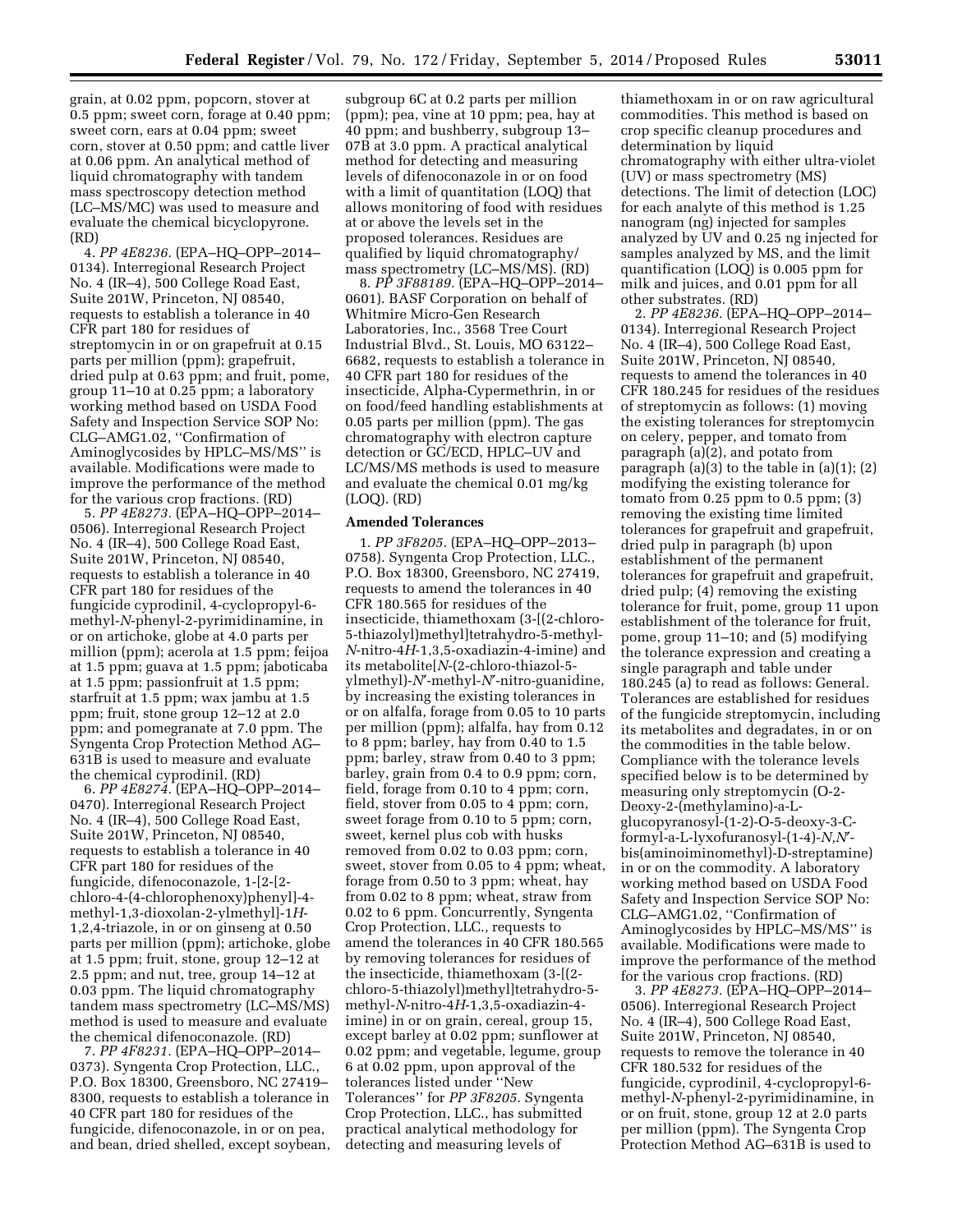grain, at 0.02 ppm, popcorn, stover at 0.5 ppm; sweet corn, forage at 0.40 ppm; sweet corn, ears at 0.04 ppm; sweet corn, stover at 0.50 ppm; and cattle liver at 0.06 ppm. An analytical method of liquid chromatography with tandem mass spectroscopy detection method (LC–MS/MC) was used to measure and evaluate the chemical bicyclopyrone. (RD)

4. *PP 4E8236.* (EPA–HQ–OPP–2014– 0134). Interregional Research Project No. 4 (IR–4), 500 College Road East, Suite 201W, Princeton, NJ 08540, requests to establish a tolerance in 40 CFR part 180 for residues of streptomycin in or on grapefruit at 0.15 parts per million (ppm); grapefruit, dried pulp at 0.63 ppm; and fruit, pome, group 11–10 at 0.25 ppm; a laboratory working method based on USDA Food Safety and Inspection Service SOP No: CLG–AMG1.02, ''Confirmation of Aminoglycosides by HPLC–MS/MS'' is available. Modifications were made to improve the performance of the method for the various crop fractions. (RD)

5. *PP 4E8273.* (EPA–HQ–OPP–2014– 0506). Interregional Research Project No. 4 (IR–4), 500 College Road East, Suite 201W, Princeton, NJ 08540, requests to establish a tolerance in 40 CFR part 180 for residues of the fungicide cyprodinil, 4-cyclopropyl-6 methyl-*N*-phenyl-2-pyrimidinamine, in or on artichoke, globe at 4.0 parts per million (ppm); acerola at 1.5 ppm; feijoa at 1.5 ppm; guava at 1.5 ppm; jaboticaba at 1.5 ppm; passionfruit at 1.5 ppm; starfruit at 1.5 ppm; wax jambu at 1.5 ppm; fruit, stone group 12–12 at 2.0 ppm; and pomegranate at 7.0 ppm. The Syngenta Crop Protection Method AG– 631B is used to measure and evaluate the chemical cyprodinil. (RD)

6. *PP 4E8274.* (EPA–HQ–OPP–2014– 0470). Interregional Research Project No. 4 (IR–4), 500 College Road East, Suite 201W, Princeton, NJ 08540, requests to establish a tolerance in 40 CFR part 180 for residues of the fungicide, difenoconazole, 1-[2-[2 chloro-4-(4-chlorophenoxy)phenyl]-4 methyl-1,3-dioxolan-2-ylmethyl]-1*H*-1,2,4-triazole, in or on ginseng at 0.50 parts per million (ppm); artichoke, globe at 1.5 ppm; fruit, stone, group 12–12 at 2.5 ppm; and nut, tree, group 14–12 at 0.03 ppm. The liquid chromatography tandem mass spectrometry (LC–MS/MS) method is used to measure and evaluate the chemical difenoconazole. (RD)

7. *PP 4F8231.* (EPA–HQ–OPP–2014– 0373). Syngenta Crop Protection, LLC., P.O. Box 18300, Greensboro, NC 27419– 8300, requests to establish a tolerance in 40 CFR part 180 for residues of the fungicide, difenoconazole, in or on pea, and bean, dried shelled, except soybean,

subgroup 6C at 0.2 parts per million (ppm); pea, vine at 10 ppm; pea, hay at 40 ppm; and bushberry, subgroup 13– 07B at 3.0 ppm. A practical analytical method for detecting and measuring levels of difenoconazole in or on food with a limit of quantitation (LOQ) that allows monitoring of food with residues at or above the levels set in the proposed tolerances. Residues are qualified by liquid chromatography/ mass spectrometry (LC–MS/MS). (RD)

8. *PP 3F88189.* (EPA–HQ–OPP–2014– 0601). BASF Corporation on behalf of Whitmire Micro-Gen Research Laboratories, Inc., 3568 Tree Court Industrial Blvd., St. Louis, MO 63122– 6682, requests to establish a tolerance in 40 CFR part 180 for residues of the insecticide, Alpha-Cypermethrin, in or on food/feed handling establishments at 0.05 parts per million (ppm). The gas chromatography with electron capture detection or GC/ECD, HPLC–UV and LC/MS/MS methods is used to measure and evaluate the chemical 0.01 mg/kg (LOQ). (RD)

# **Amended Tolerances**

1. *PP 3F8205.* (EPA–HQ–OPP–2013– 0758). Syngenta Crop Protection, LLC., P.O. Box 18300, Greensboro, NC 27419, requests to amend the tolerances in 40 CFR 180.565 for residues of the insecticide, thiamethoxam (3-[(2-chloro-5-thiazolyl)methyl]tetrahydro-5-methyl-*N*-nitro-4*H*-1,3,5-oxadiazin-4-imine) and its metabolite[*N*-(2-chloro-thiazol-5 ylmethyl)-*N*′-methyl-*N*′-nitro-guanidine, by increasing the existing tolerances in or on alfalfa, forage from 0.05 to 10 parts per million (ppm); alfalfa, hay from 0.12 to 8 ppm; barley, hay from 0.40 to 1.5 ppm; barley, straw from 0.40 to 3 ppm; barley, grain from 0.4 to 0.9 ppm; corn, field, forage from 0.10 to 4 ppm; corn, field, stover from 0.05 to 4 ppm; corn, sweet forage from 0.10 to 5 ppm; corn, sweet, kernel plus cob with husks removed from 0.02 to 0.03 ppm; corn, sweet, stover from 0.05 to 4 ppm; wheat, forage from 0.50 to 3 ppm; wheat, hay from 0.02 to 8 ppm; wheat, straw from 0.02 to 6 ppm. Concurrently, Syngenta Crop Protection, LLC., requests to amend the tolerances in 40 CFR 180.565 by removing tolerances for residues of the insecticide, thiamethoxam (3-[(2 chloro-5-thiazolyl)methyl]tetrahydro-5 methyl-*N*-nitro-4*H*-1,3,5-oxadiazin-4 imine) in or on grain, cereal, group 15, except barley at 0.02 ppm; sunflower at 0.02 ppm; and vegetable, legume, group 6 at 0.02 ppm, upon approval of the tolerances listed under ''New Tolerances'' for *PP 3F8205.* Syngenta Crop Protection, LLC., has submitted practical analytical methodology for detecting and measuring levels of

thiamethoxam in or on raw agricultural commodities. This method is based on crop specific cleanup procedures and determination by liquid chromatography with either ultra-violet (UV) or mass spectrometry (MS) detections. The limit of detection (LOC) for each analyte of this method is 1.25 nanogram (ng) injected for samples analyzed by UV and 0.25 ng injected for samples analyzed by MS, and the limit quantification (LOQ) is 0.005 ppm for milk and juices, and 0.01 ppm for all other substrates. (RD)

2. *PP 4E8236.* (EPA–HQ–OPP–2014– 0134). Interregional Research Project No. 4 (IR–4), 500 College Road East, Suite 201W, Princeton, NJ 08540, requests to amend the tolerances in 40 CFR 180.245 for residues of the residues of streptomycin as follows: (1) moving the existing tolerances for streptomycin on celery, pepper, and tomato from paragraph (a)(2), and potato from paragraph  $(a)(3)$  to the table in  $(a)(1)$ ;  $(2)$ modifying the existing tolerance for tomato from 0.25 ppm to 0.5 ppm; (3) removing the existing time limited tolerances for grapefruit and grapefruit, dried pulp in paragraph (b) upon establishment of the permanent tolerances for grapefruit and grapefruit, dried pulp; (4) removing the existing tolerance for fruit, pome, group 11 upon establishment of the tolerance for fruit, pome, group 11–10; and (5) modifying the tolerance expression and creating a single paragraph and table under 180.245 (a) to read as follows: General. Tolerances are established for residues of the fungicide streptomycin, including its metabolites and degradates, in or on the commodities in the table below. Compliance with the tolerance levels specified below is to be determined by measuring only streptomycin (O-2- Deoxy-2-(methylamino)-a-Lglucopyranosyl-(1-2)-O-5-deoxy-3-Cformyl-a-L-lyxofuranosyl-(1-4)-*N,N*′ bis(aminoiminomethyl)-D-streptamine) in or on the commodity. A laboratory working method based on USDA Food Safety and Inspection Service SOP No: CLG–AMG1.02, ''Confirmation of Aminoglycosides by HPLC–MS/MS'' is available. Modifications were made to improve the performance of the method for the various crop fractions. (RD)

3. *PP 4E8273.* (EPA–HQ–OPP–2014– 0506). Interregional Research Project No. 4 (IR–4), 500 College Road East, Suite 201W, Princeton, NJ 08540, requests to remove the tolerance in 40 CFR 180.532 for residues of the fungicide, cyprodinil, 4-cyclopropyl-6 methyl-*N*-phenyl-2-pyrimidinamine, in or on fruit, stone, group 12 at 2.0 parts per million (ppm). The Syngenta Crop Protection Method AG–631B is used to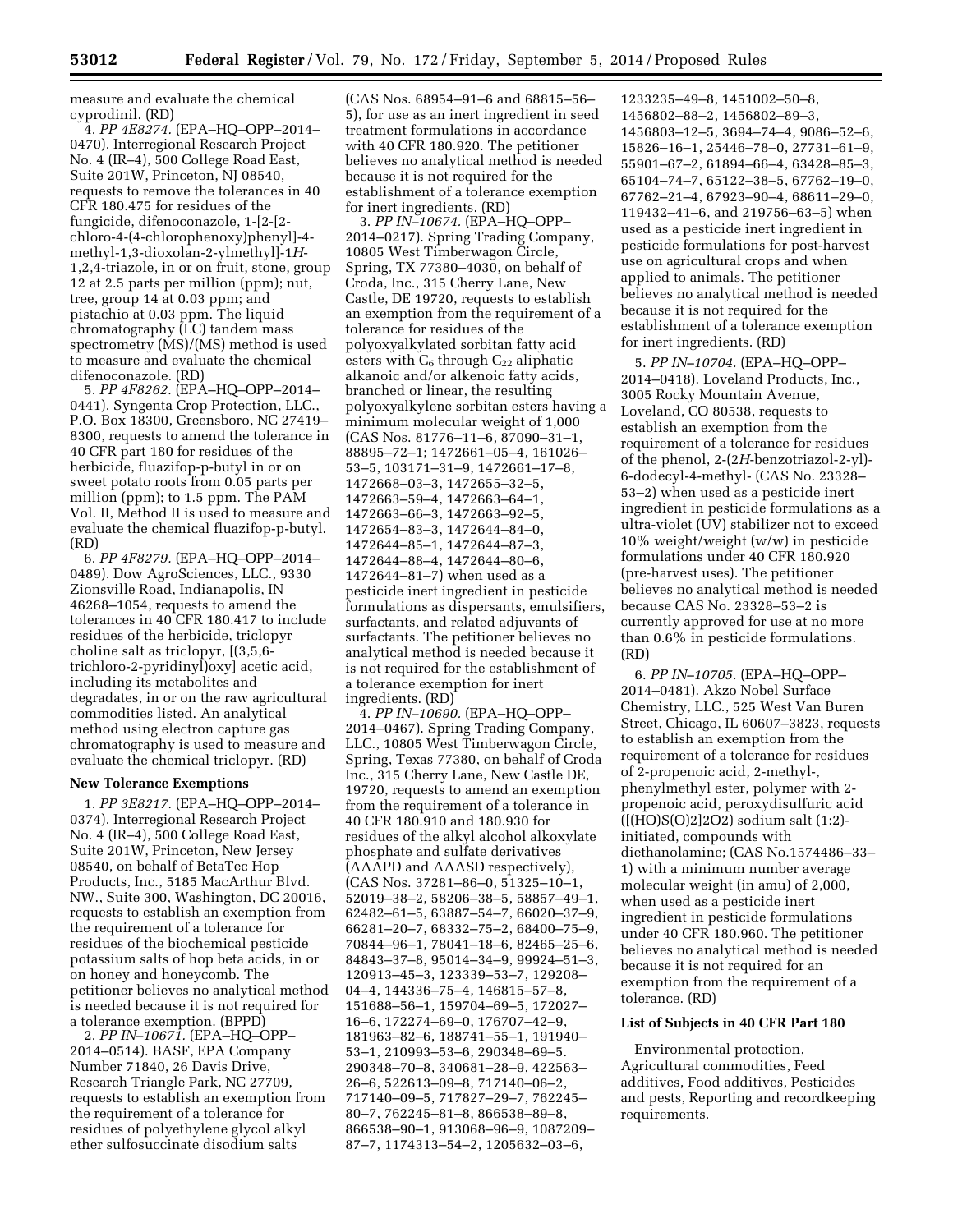measure and evaluate the chemical cyprodinil. (RD)

4. *PP 4E8274.* (EPA–HQ–OPP–2014– 0470). Interregional Research Project No. 4 (IR–4), 500 College Road East, Suite 201W, Princeton, NJ 08540, requests to remove the tolerances in 40 CFR 180.475 for residues of the fungicide, difenoconazole, 1-[2-[2 chloro-4-(4-chlorophenoxy)phenyl]-4 methyl-1,3-dioxolan-2-ylmethyl]-1*H*-1,2,4-triazole, in or on fruit, stone, group 12 at 2.5 parts per million (ppm); nut, tree, group 14 at 0.03 ppm; and pistachio at 0.03 ppm. The liquid chromatography (LC) tandem mass spectrometry (MS)/(MS) method is used to measure and evaluate the chemical difenoconazole. (RD)

5. *PP 4F8262.* (EPA–HQ–OPP–2014– 0441). Syngenta Crop Protection, LLC., P.O. Box 18300, Greensboro, NC 27419– 8300, requests to amend the tolerance in 40 CFR part 180 for residues of the herbicide, fluazifop-p-butyl in or on sweet potato roots from 0.05 parts per million (ppm); to 1.5 ppm. The PAM Vol. II, Method II is used to measure and evaluate the chemical fluazifop-p-butyl. (RD)

6. *PP 4F8279.* (EPA–HQ–OPP–2014– 0489). Dow AgroSciences, LLC., 9330 Zionsville Road, Indianapolis, IN 46268–1054, requests to amend the tolerances in 40 CFR 180.417 to include residues of the herbicide, triclopyr choline salt as triclopyr, [(3,5,6 trichloro-2-pyridinyl)oxy] acetic acid, including its metabolites and degradates, in or on the raw agricultural commodities listed. An analytical method using electron capture gas chromatography is used to measure and evaluate the chemical triclopyr. (RD)

#### **New Tolerance Exemptions**

1. *PP 3E8217.* (EPA–HQ–OPP–2014– 0374). Interregional Research Project No. 4 (IR–4), 500 College Road East, Suite 201W, Princeton, New Jersey 08540, on behalf of BetaTec Hop Products, Inc., 5185 MacArthur Blvd. NW., Suite 300, Washington, DC 20016, requests to establish an exemption from the requirement of a tolerance for residues of the biochemical pesticide potassium salts of hop beta acids, in or on honey and honeycomb. The petitioner believes no analytical method is needed because it is not required for a tolerance exemption. (BPPD)

2. *PP IN–10671.* (EPA–HQ–OPP– 2014–0514). BASF, EPA Company Number 71840, 26 Davis Drive, Research Triangle Park, NC 27709, requests to establish an exemption from the requirement of a tolerance for residues of polyethylene glycol alkyl ether sulfosuccinate disodium salts

(CAS Nos. 68954–91–6 and 68815–56– 5), for use as an inert ingredient in seed treatment formulations in accordance with 40 CFR 180.920. The petitioner believes no analytical method is needed because it is not required for the establishment of a tolerance exemption for inert ingredients. (RD)

3. *PP IN–10674.* (EPA–HQ–OPP– 2014–0217). Spring Trading Company, 10805 West Timberwagon Circle, Spring, TX 77380–4030, on behalf of Croda, Inc., 315 Cherry Lane, New Castle, DE 19720, requests to establish an exemption from the requirement of a tolerance for residues of the polyoxyalkylated sorbitan fatty acid esters with  $C_6$  through  $C_{22}$  aliphatic alkanoic and/or alkenoic fatty acids, branched or linear, the resulting polyoxyalkylene sorbitan esters having a minimum molecular weight of 1,000 (CAS Nos. 81776–11–6, 87090–31–1, 88895–72–1; 1472661–05–4, 161026– 53–5, 103171–31–9, 1472661–17–8, 1472668–03–3, 1472655–32–5, 1472663–59–4, 1472663–64–1, 1472663–66–3, 1472663–92–5, 1472654–83–3, 1472644–84–0, 1472644–85–1, 1472644–87–3, 1472644–88–4, 1472644–80–6, 1472644–81–7) when used as a pesticide inert ingredient in pesticide formulations as dispersants, emulsifiers, surfactants, and related adjuvants of surfactants. The petitioner believes no analytical method is needed because it is not required for the establishment of a tolerance exemption for inert ingredients. (RD)

4. *PP IN–10690.* (EPA–HQ–OPP– 2014–0467). Spring Trading Company, LLC., 10805 West Timberwagon Circle, Spring, Texas 77380, on behalf of Croda Inc., 315 Cherry Lane, New Castle DE, 19720, requests to amend an exemption from the requirement of a tolerance in 40 CFR 180.910 and 180.930 for residues of the alkyl alcohol alkoxylate phosphate and sulfate derivatives (AAAPD and AAASD respectively), (CAS Nos. 37281–86–0, 51325–10–1, 52019–38–2, 58206–38–5, 58857–49–1, 62482–61–5, 63887–54–7, 66020–37–9, 66281–20–7, 68332–75–2, 68400–75–9, 70844–96–1, 78041–18–6, 82465–25–6, 84843–37–8, 95014–34–9, 99924–51–3, 120913–45–3, 123339–53–7, 129208– 04–4, 144336–75–4, 146815–57–8, 151688–56–1, 159704–69–5, 172027– 16–6, 172274–69–0, 176707–42–9, 181963–82–6, 188741–55–1, 191940– 53–1, 210993–53–6, 290348–69–5. 290348–70–8, 340681–28–9, 422563– 26–6, 522613–09–8, 717140–06–2, 717140–09–5, 717827–29–7, 762245– 80–7, 762245–81–8, 866538–89–8, 866538–90–1, 913068–96–9, 1087209– 87–7, 1174313–54–2, 1205632–03–6,

1233235–49–8, 1451002–50–8, 1456802–88–2, 1456802–89–3, 1456803–12–5, 3694–74–4, 9086–52–6, 15826–16–1, 25446–78–0, 27731–61–9, 55901–67–2, 61894–66–4, 63428–85–3, 65104–74–7, 65122–38–5, 67762–19–0, 67762–21–4, 67923–90–4, 68611–29–0, 119432–41–6, and 219756–63–5) when used as a pesticide inert ingredient in pesticide formulations for post-harvest use on agricultural crops and when applied to animals. The petitioner believes no analytical method is needed because it is not required for the establishment of a tolerance exemption for inert ingredients. (RD)

5. *PP IN–10704.* (EPA–HQ–OPP– 2014–0418). Loveland Products, Inc., 3005 Rocky Mountain Avenue, Loveland, CO 80538, requests to establish an exemption from the requirement of a tolerance for residues of the phenol, 2-(2*H*-benzotriazol-2-yl)- 6-dodecyl-4-methyl- (CAS No. 23328– 53–2) when used as a pesticide inert ingredient in pesticide formulations as a ultra-violet (UV) stabilizer not to exceed 10% weight/weight (w/w) in pesticide formulations under 40 CFR 180.920 (pre-harvest uses). The petitioner believes no analytical method is needed because CAS No. 23328–53–2 is currently approved for use at no more than 0.6% in pesticide formulations. (RD)

6. *PP IN–10705.* (EPA–HQ–OPP– 2014–0481). Akzo Nobel Surface Chemistry, LLC., 525 West Van Buren Street, Chicago, IL 60607–3823, requests to establish an exemption from the requirement of a tolerance for residues of 2-propenoic acid, 2-methyl-, phenylmethyl ester, polymer with 2 propenoic acid, peroxydisulfuric acid ([(HO)S(O)2]2O2) sodium salt (1:2) initiated, compounds with diethanolamine; (CAS No.1574486–33– 1) with a minimum number average molecular weight (in amu) of 2,000, when used as a pesticide inert ingredient in pesticide formulations under 40 CFR 180.960. The petitioner believes no analytical method is needed because it is not required for an exemption from the requirement of a tolerance. (RD)

### **List of Subjects in 40 CFR Part 180**

Environmental protection, Agricultural commodities, Feed additives, Food additives, Pesticides and pests, Reporting and recordkeeping requirements.